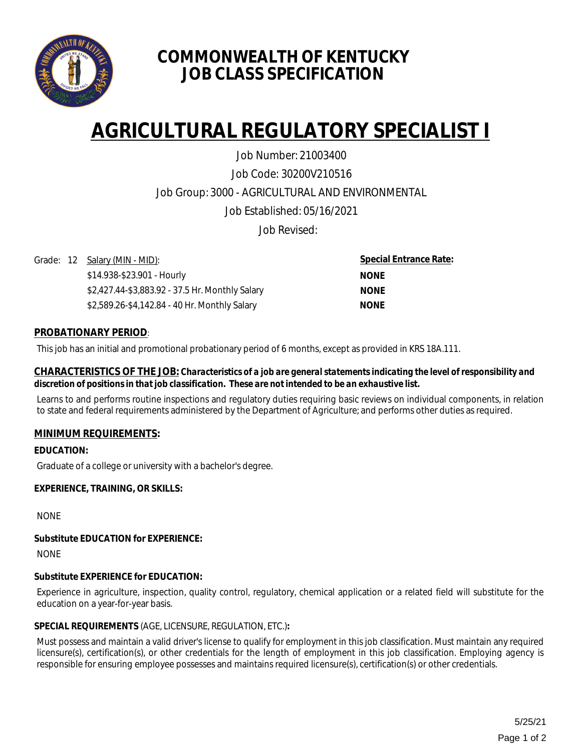

# **COMMONWEALTH OF KENTUCKY JOB CLASS SPECIFICATION**

# **AGRICULTURAL REGULATORY SPECIALIST I**

Job Code: 30200V210516 Job Group: 3000 - AGRICULTURAL AND ENVIRONMENTAL Job Established: 05/16/2021 Job Number: 21003400

Job Revised:

Grade: 12 Salary (MIN - MID):

\$14.938-\$23.901 - Hourly \$2,427.44-\$3,883.92 - 37.5 Hr. Monthly Salary \$2,589.26-\$4,142.84 - 40 Hr. Monthly Salary

**Special Entrance Rate: NONE NONE NONE**

# **PROBATIONARY PERIOD**:

This job has an initial and promotional probationary period of 6 months, except as provided in KRS 18A.111.

#### **CHARACTERISTICS OF THE JOB:** *Characteristics of a job are general statements indicating the level of responsibility and discretion of positions in that job classification. These are not intended to be an exhaustive list.*

Learns to and performs routine inspections and regulatory duties requiring basic reviews on individual components, in relation to state and federal requirements administered by the Department of Agriculture; and performs other duties as required.

# **MINIMUM REQUIREMENTS:**

**EDUCATION:** 

Graduate of a college or university with a bachelor's degree.

# **EXPERIENCE, TRAINING, OR SKILLS:**

NONE

#### **Substitute EDUCATION for EXPERIENCE:**

**NONE** 

# **Substitute EXPERIENCE for EDUCATION:**

Experience in agriculture, inspection, quality control, regulatory, chemical application or a related field will substitute for the education on a year-for-year basis.

# **SPECIAL REQUIREMENTS** (AGE, LICENSURE, REGULATION, ETC.)**:**

Must possess and maintain a valid driver's license to qualify for employment in this job classification. Must maintain any required licensure(s), certification(s), or other credentials for the length of employment in this job classification. Employing agency is responsible for ensuring employee possesses and maintains required licensure(s), certification(s) or other credentials.